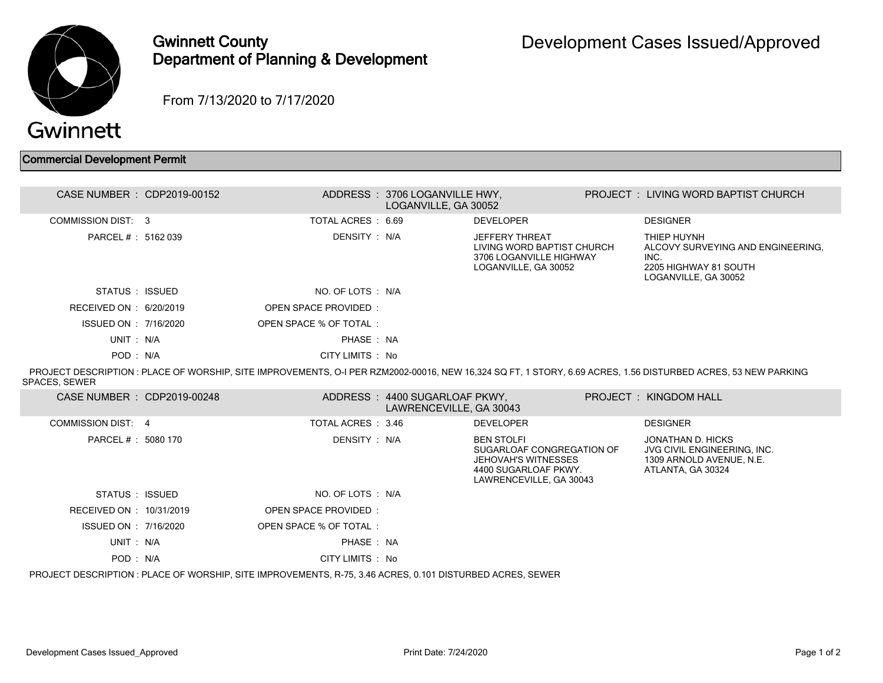

## Gwinnett County Department of Planning & Development

From 7/13/2020 to 7/17/2020

## Commercial Development Permit

| CASE NUMBER : CDP2019-00152 |                        | ADDRESS: 3706 LOGANVILLE HWY,<br>LOGANVILLE, GA 30052    |                                                                                                                                 | PROJECT : LIVING WORD BAPTIST CHURCH                                                                                                                          |
|-----------------------------|------------------------|----------------------------------------------------------|---------------------------------------------------------------------------------------------------------------------------------|---------------------------------------------------------------------------------------------------------------------------------------------------------------|
| <b>COMMISSION DIST: 3</b>   | TOTAL ACRES: 6.69      |                                                          | <b>DEVELOPER</b>                                                                                                                | <b>DESIGNER</b>                                                                                                                                               |
| PARCEL #: 5162 039          | DENSITY : N/A          |                                                          | <b>JEFFERY THREAT</b><br>LIVING WORD BAPTIST CHURCH<br>3706 LOGANVILLE HIGHWAY<br>LOGANVILLE, GA 30052                          | THIEP HUYNH<br>ALCOVY SURVEYING AND ENGINEERING.<br>INC.<br>2205 HIGHWAY 81 SOUTH<br>LOGANVILLE, GA 30052                                                     |
| STATUS: ISSUED              | NO. OF LOTS: N/A       |                                                          |                                                                                                                                 |                                                                                                                                                               |
| RECEIVED ON : 6/20/2019     | OPEN SPACE PROVIDED:   |                                                          |                                                                                                                                 |                                                                                                                                                               |
| ISSUED ON : 7/16/2020       | OPEN SPACE % OF TOTAL: |                                                          |                                                                                                                                 |                                                                                                                                                               |
| UNIT: N/A                   | PHASE: NA              |                                                          |                                                                                                                                 |                                                                                                                                                               |
| POD: N/A                    | CITY LIMITS : No       |                                                          |                                                                                                                                 |                                                                                                                                                               |
|                             |                        |                                                          |                                                                                                                                 | PROJECT DESCRIPTION : PLACE OF WORSHIP, SITE IMPROVEMENTS, O-I PER RZM2002-00016, NEW 16,324 SQ FT, 1 STORY, 6.69 ACRES, 1.56 DISTURBED ACRES, 53 NEW PARKING |
| <b>SPACES, SEWER</b>        |                        |                                                          |                                                                                                                                 |                                                                                                                                                               |
| CASE NUMBER : CDP2019-00248 |                        | ADDRESS: 4400 SUGARLOAF PKWY,<br>LAWRENCEVILLE, GA 30043 |                                                                                                                                 | PROJECT: KINGDOM HALL                                                                                                                                         |
| COMMISSION DIST: 4          | TOTAL ACRES : 3.46     |                                                          | <b>DEVELOPER</b>                                                                                                                | <b>DESIGNER</b>                                                                                                                                               |
| PARCEL #: 5080 170          | DENSITY : N/A          |                                                          | <b>BEN STOLFI</b><br>SUGARLOAF CONGREGATION OF<br><b>JEHOVAH'S WITNESSES</b><br>4400 SUGARLOAF PKWY.<br>LAWRENCEVILLE, GA 30043 | JONATHAN D. HICKS<br>JVG CIVIL ENGINEERING. INC.<br>1309 ARNOLD AVENUE, N.E.<br>ATLANTA, GA 30324                                                             |
| STATUS : ISSUED             | NO. OF LOTS : N/A      |                                                          |                                                                                                                                 |                                                                                                                                                               |
| RECEIVED ON : 10/31/2019    | OPEN SPACE PROVIDED:   |                                                          |                                                                                                                                 |                                                                                                                                                               |
| ISSUED ON : 7/16/2020       | OPEN SPACE % OF TOTAL: |                                                          |                                                                                                                                 |                                                                                                                                                               |
| UNIT: N/A                   | PHASE: NA              |                                                          |                                                                                                                                 |                                                                                                                                                               |
| POD: N/A                    | CITY LIMITS : No       |                                                          |                                                                                                                                 |                                                                                                                                                               |